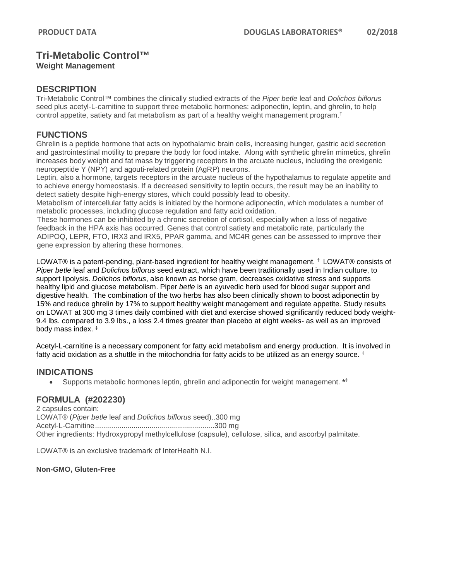# **Tri-Metabolic Control™**

**Weight Management** 

### **DESCRIPTION**

Tri-Metabolic Control™ combines the clinically studied extracts of the *Piper betle* leaf and *Dolichos biflorus*  seed plus acetyl-L-carnitine to support three metabolic hormones: adiponectin, leptin, and ghrelin, to help control appetite, satiety and fat metabolism as part of a healthy weight management program. †

# **FUNCTIONS**

Ghrelin is a peptide hormone that acts on [hypothalamic](https://en.wikipedia.org/wiki/Hypothalamic) brain cells, increasing hunger, gastric acid secretion and gastrointestinal motility to prepare the body for food intake. Along with synthetic ghrelin mimetics, ghrelin increases body weight and fat mass by triggering receptors in the arcuate nucleus, including the orexigenic neuropeptide Y (NPY) and agouti-related protein (AgRP) neurons.

Leptin, also a hormone, targets receptors in the [arcuate nucleus](https://en.wikipedia.org/wiki/Arcuate_nucleus) of the [hypothalamus](https://en.wikipedia.org/wiki/Hypothalamus) to regulate appetite and to achieve [energy homeostasis.](https://en.wikipedia.org/wiki/Energy_homeostasis) If a decreased sensitivity to leptin occurs, the result may be an inability to detect satiety despite high-energy stores, which could possibly lead to obesity.

Metabolism of intercellular fatty acids is initiated by the hormone adiponectin, which modulates a number of metabolic processes, including glucose regulation and fatty acid oxidation.

These hormones can be inhibited by a chronic secretion of cortisol, especially when a loss of negative feedback in the HPA axis has occurred. Genes that control satiety and metabolic rate, particularly the ADIPOQ, LEPR, FTO, IRX3 and IRX5, PPAR gamma, and MC4R genes can be assessed to improve their gene expression by altering these hormones.

LOWAT® is a patent-pending, plant-based ingredient for healthy weight management. † LOWAT® consists of *Piper betle* leaf and *Dolichos biflorus* seed extract, which have been traditionally used in Indian culture, to support lipolysis. *Dolichos biflorus*, also known as horse gram, decreases oxidative stress and supports healthy lipid and glucose metabolism. Piper *betle* is an ayuvedic herb used for blood sugar support and digestive health. The combination of the two herbs has also been clinically shown to boost adiponectin by 15% and reduce ghrelin by 17% to support healthy weight management and regulate appetite. Study results on LOWAT at 300 mg 3 times daily combined with diet and exercise showed significantly reduced body weight-9.4 lbs. compared to 3.9 lbs., a loss 2.4 times greater than placebo at eight weeks- as well as an improved body mass index. ‡

Acetyl-L-carnitine is a necessary component for fatty acid metabolism and energy production. It is involved in fatty acid oxidation as a shuttle in the mitochondria for fatty acids to be utilized as an energy source.  $\ddagger$ 

### **INDICATIONS**

• Supports metabolic hormones leptin, ghrelin and adiponectin for weight management. **\*‡**

# **FORMULA (#202230)**

2 capsules contain: LOWAT® (*Piper betle* leaf and *Dolichos biflorus* seed)..300 mg Acetyl-L-Carnitine...........................................................300 mg Other ingredients: Hydroxypropyl methylcellulose (capsule), cellulose, silica, and ascorbyl palmitate.

LOWAT® is an exclusive trademark of InterHealth N.I.

**Non-GMO, Gluten-Free**